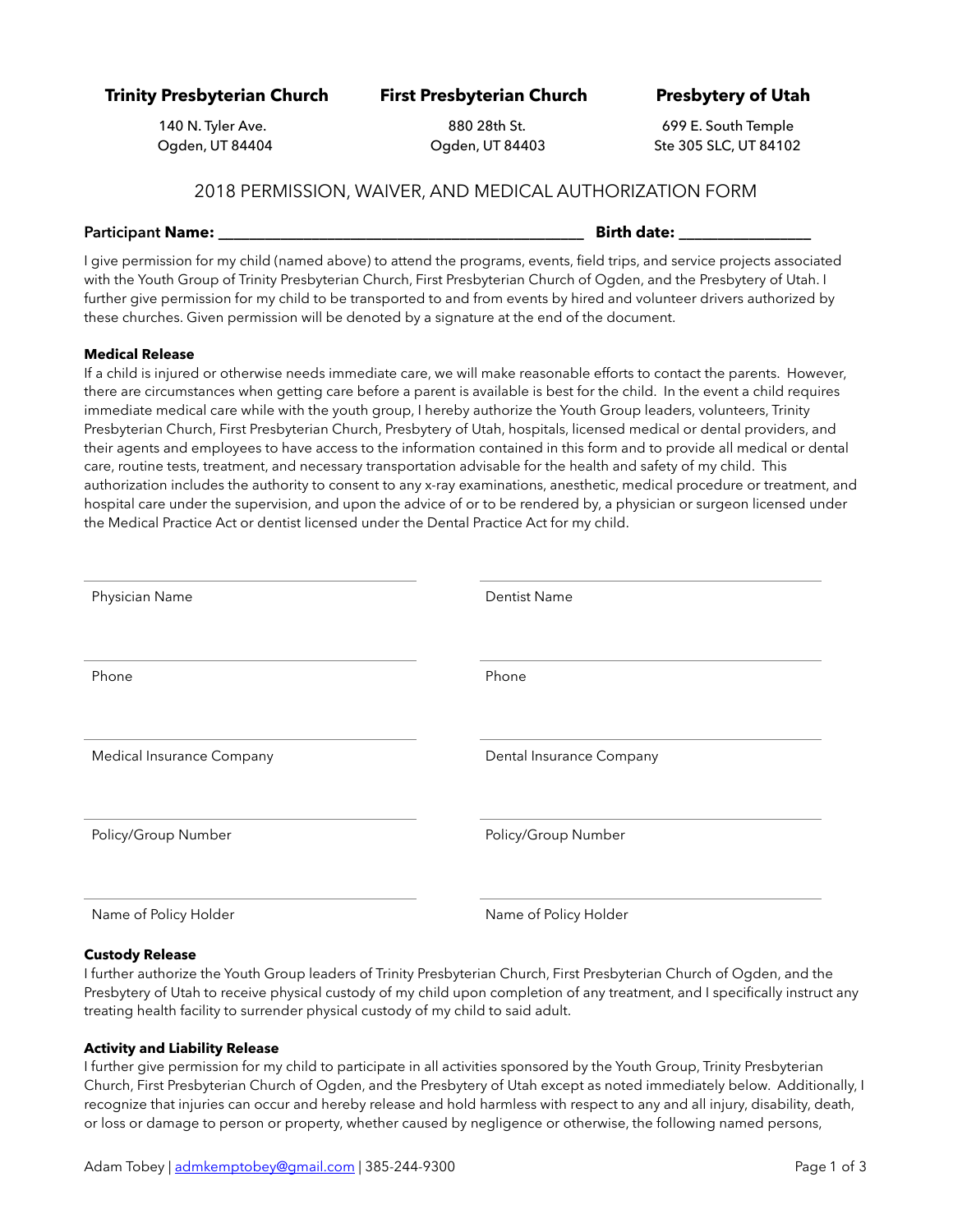**Trinity Presbyterian Church First Presbyterian Church Presbytery of Utah** 

140 N. Tyler Ave. 880 28th St. 699 E. South Temple Ogden, UT 84404 Ogden, UT 84403 Ste 305 SLC, UT 84102

## 2018 PERMISSION, WAIVER, AND MEDICAL AUTHORIZATION FORM

## **Participant Name: Name: Example 2.1 and 2.1 and 2.1 and 2.1 and 2.1 and 2.1 and 2.1 and 2.1 and 2.1 and 2.1 and 2.1 and 2.1 and 2.1 and 2.1 and 2.1 and 2.1 and 2.1 and 2.1 and 2.1 and 2.1 and 2.1 and 2.1 and 2.1 and 2**

I give permission for my child (named above) to attend the programs, events, field trips, and service projects associated with the Youth Group of Trinity Presbyterian Church, First Presbyterian Church of Ogden, and the Presbytery of Utah. I further give permission for my child to be transported to and from events by hired and volunteer drivers authorized by these churches. Given permission will be denoted by a signature at the end of the document.

## **Medical Release**

If a child is injured or otherwise needs immediate care, we will make reasonable efforts to contact the parents. However, there are circumstances when getting care before a parent is available is best for the child. In the event a child requires immediate medical care while with the youth group, I hereby authorize the Youth Group leaders, volunteers, Trinity Presbyterian Church, First Presbyterian Church, Presbytery of Utah, hospitals, licensed medical or dental providers, and their agents and employees to have access to the information contained in this form and to provide all medical or dental care, routine tests, treatment, and necessary transportation advisable for the health and safety of my child. This authorization includes the authority to consent to any x-ray examinations, anesthetic, medical procedure or treatment, and hospital care under the supervision, and upon the advice of or to be rendered by, a physician or surgeon licensed under the Medical Practice Act or dentist licensed under the Dental Practice Act for my child.

| Physician Name            | <b>Dentist Name</b>      |
|---------------------------|--------------------------|
|                           |                          |
| Phone                     | Phone                    |
|                           |                          |
|                           |                          |
|                           |                          |
| Medical Insurance Company | Dental Insurance Company |
|                           |                          |
|                           |                          |
|                           |                          |
| Policy/Group Number       | Policy/Group Number      |
|                           |                          |
|                           |                          |
|                           |                          |
| Name of Policy Holder     | Name of Policy Holder    |
|                           |                          |

## **Custody Release**

I further authorize the Youth Group leaders of Trinity Presbyterian Church, First Presbyterian Church of Ogden, and the Presbytery of Utah to receive physical custody of my child upon completion of any treatment, and I specifically instruct any treating health facility to surrender physical custody of my child to said adult.

## **Activity and Liability Release**

I further give permission for my child to participate in all activities sponsored by the Youth Group, Trinity Presbyterian Church, First Presbyterian Church of Ogden, and the Presbytery of Utah except as noted immediately below. Additionally, I recognize that injuries can occur and hereby release and hold harmless with respect to any and all injury, disability, death, or loss or damage to person or property, whether caused by negligence or otherwise, the following named persons,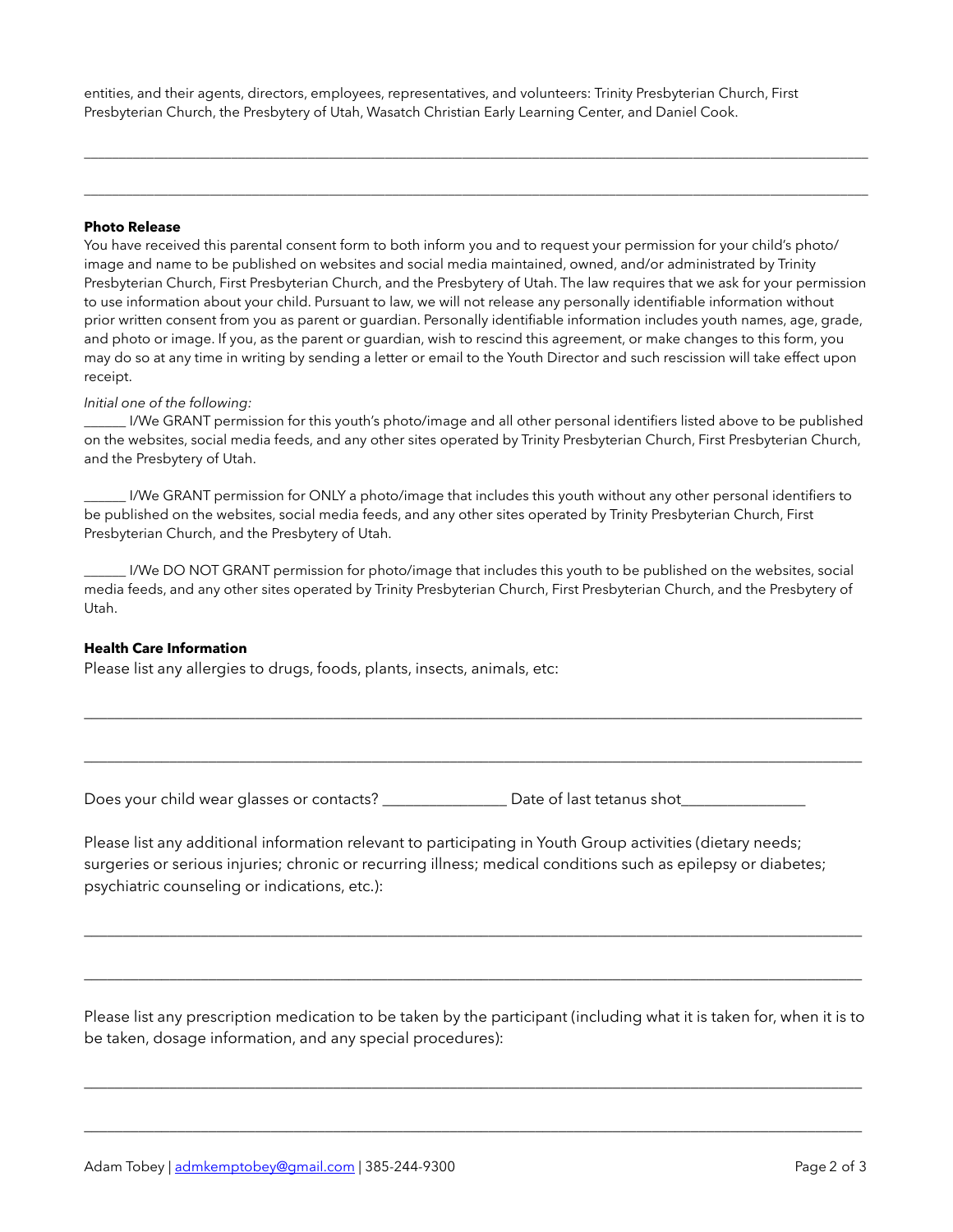entities, and their agents, directors, employees, representatives, and volunteers: Trinity Presbyterian Church, First Presbyterian Church, the Presbytery of Utah, Wasatch Christian Early Learning Center, and Daniel Cook.

## **Photo Release**

You have received this parental consent form to both inform you and to request your permission for your child's photo/ image and name to be published on websites and social media maintained, owned, and/or administrated by Trinity Presbyterian Church, First Presbyterian Church, and the Presbytery of Utah. The law requires that we ask for your permission to use information about your child. Pursuant to law, we will not release any personally identifiable information without prior written consent from you as parent or guardian. Personally identifiable information includes youth names, age, grade, and photo or image. If you, as the parent or guardian, wish to rescind this agreement, or make changes to this form, you may do so at any time in writing by sending a letter or email to the Youth Director and such rescission will take effect upon receipt.

 $\Box$ 

 $\Box$ 

## *Initial one of the following:*

\_\_\_\_\_\_ I/We GRANT permission for this youth's photo/image and all other personal identifiers listed above to be published on the websites, social media feeds, and any other sites operated by Trinity Presbyterian Church, First Presbyterian Church, and the Presbytery of Utah.

I/We GRANT permission for ONLY a photo/image that includes this youth without any other personal identifiers to be published on the websites, social media feeds, and any other sites operated by Trinity Presbyterian Church, First Presbyterian Church, and the Presbytery of Utah.

\_\_\_\_\_\_ I/We DO NOT GRANT permission for photo/image that includes this youth to be published on the websites, social media feeds, and any other sites operated by Trinity Presbyterian Church, First Presbyterian Church, and the Presbytery of Utah.

\_\_\_\_\_\_\_\_\_\_\_\_\_\_\_\_\_\_\_\_\_\_\_\_\_\_\_\_\_\_\_\_\_\_\_\_\_\_\_\_\_\_\_\_\_\_\_\_\_\_\_\_\_\_\_\_\_\_\_\_\_\_\_\_\_\_\_\_\_\_\_\_\_\_\_\_\_\_\_\_\_\_\_\_\_\_\_\_\_\_\_\_\_\_\_\_\_\_\_\_

\_\_\_\_\_\_\_\_\_\_\_\_\_\_\_\_\_\_\_\_\_\_\_\_\_\_\_\_\_\_\_\_\_\_\_\_\_\_\_\_\_\_\_\_\_\_\_\_\_\_\_\_\_\_\_\_\_\_\_\_\_\_\_\_\_\_\_\_\_\_\_\_\_\_\_\_\_\_\_\_\_\_\_\_\_\_\_\_\_\_\_\_\_\_\_\_\_\_\_\_

## **Health Care Information**

Please list any allergies to drugs, foods, plants, insects, animals, etc:

Does your child wear glasses or contacts? <br>
Date of last tetanus shot

Please list any additional information relevant to participating in Youth Group activities (dietary needs; surgeries or serious injuries; chronic or recurring illness; medical conditions such as epilepsy or diabetes; psychiatric counseling or indications, etc.):

Please list any prescription medication to be taken by the participant (including what it is taken for, when it is to be taken, dosage information, and any special procedures):

\_\_\_\_\_\_\_\_\_\_\_\_\_\_\_\_\_\_\_\_\_\_\_\_\_\_\_\_\_\_\_\_\_\_\_\_\_\_\_\_\_\_\_\_\_\_\_\_\_\_\_\_\_\_\_\_\_\_\_\_\_\_\_\_\_\_\_\_\_\_\_\_\_\_\_\_\_\_\_\_\_\_\_\_\_\_\_\_\_\_\_\_\_\_\_\_\_\_\_\_

\_\_\_\_\_\_\_\_\_\_\_\_\_\_\_\_\_\_\_\_\_\_\_\_\_\_\_\_\_\_\_\_\_\_\_\_\_\_\_\_\_\_\_\_\_\_\_\_\_\_\_\_\_\_\_\_\_\_\_\_\_\_\_\_\_\_\_\_\_\_\_\_\_\_\_\_\_\_\_\_\_\_\_\_\_\_\_\_\_\_\_\_\_\_\_\_\_\_\_\_

\_\_\_\_\_\_\_\_\_\_\_\_\_\_\_\_\_\_\_\_\_\_\_\_\_\_\_\_\_\_\_\_\_\_\_\_\_\_\_\_\_\_\_\_\_\_\_\_\_\_\_\_\_\_\_\_\_\_\_\_\_\_\_\_\_\_\_\_\_\_\_\_\_\_\_\_\_\_\_\_\_\_\_\_\_\_\_\_\_\_\_\_\_\_\_\_\_\_\_\_

\_\_\_\_\_\_\_\_\_\_\_\_\_\_\_\_\_\_\_\_\_\_\_\_\_\_\_\_\_\_\_\_\_\_\_\_\_\_\_\_\_\_\_\_\_\_\_\_\_\_\_\_\_\_\_\_\_\_\_\_\_\_\_\_\_\_\_\_\_\_\_\_\_\_\_\_\_\_\_\_\_\_\_\_\_\_\_\_\_\_\_\_\_\_\_\_\_\_\_\_